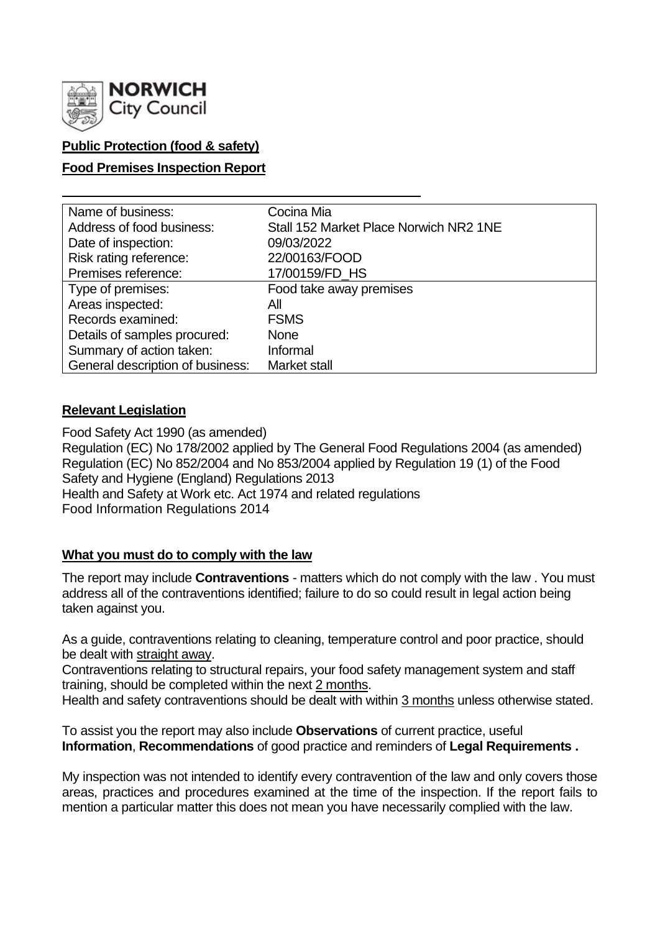

## **Public Protection (food & safety)**

### **Food Premises Inspection Report**

| Name of business:                | Cocina Mia                             |
|----------------------------------|----------------------------------------|
| Address of food business:        | Stall 152 Market Place Norwich NR2 1NE |
| Date of inspection:              | 09/03/2022                             |
| Risk rating reference:           | 22/00163/FOOD                          |
| Premises reference:              | 17/00159/FD_HS                         |
| Type of premises:                | Food take away premises                |
| Areas inspected:                 | All                                    |
| Records examined:                | <b>FSMS</b>                            |
| Details of samples procured:     | <b>None</b>                            |
| Summary of action taken:         | Informal                               |
| General description of business: | Market stall                           |

#### **Relevant Legislation**

Food Safety Act 1990 (as amended) Regulation (EC) No 178/2002 applied by The General Food Regulations 2004 (as amended) Regulation (EC) No 852/2004 and No 853/2004 applied by Regulation 19 (1) of the Food Safety and Hygiene (England) Regulations 2013 Health and Safety at Work etc. Act 1974 and related regulations Food Information Regulations 2014

#### **What you must do to comply with the law**

The report may include **Contraventions** - matters which do not comply with the law . You must address all of the contraventions identified; failure to do so could result in legal action being taken against you.

As a guide, contraventions relating to cleaning, temperature control and poor practice, should be dealt with straight away.

Contraventions relating to structural repairs, your food safety management system and staff training, should be completed within the next 2 months.

Health and safety contraventions should be dealt with within 3 months unless otherwise stated.

To assist you the report may also include **Observations** of current practice, useful **Information**, **Recommendations** of good practice and reminders of **Legal Requirements .**

My inspection was not intended to identify every contravention of the law and only covers those areas, practices and procedures examined at the time of the inspection. If the report fails to mention a particular matter this does not mean you have necessarily complied with the law.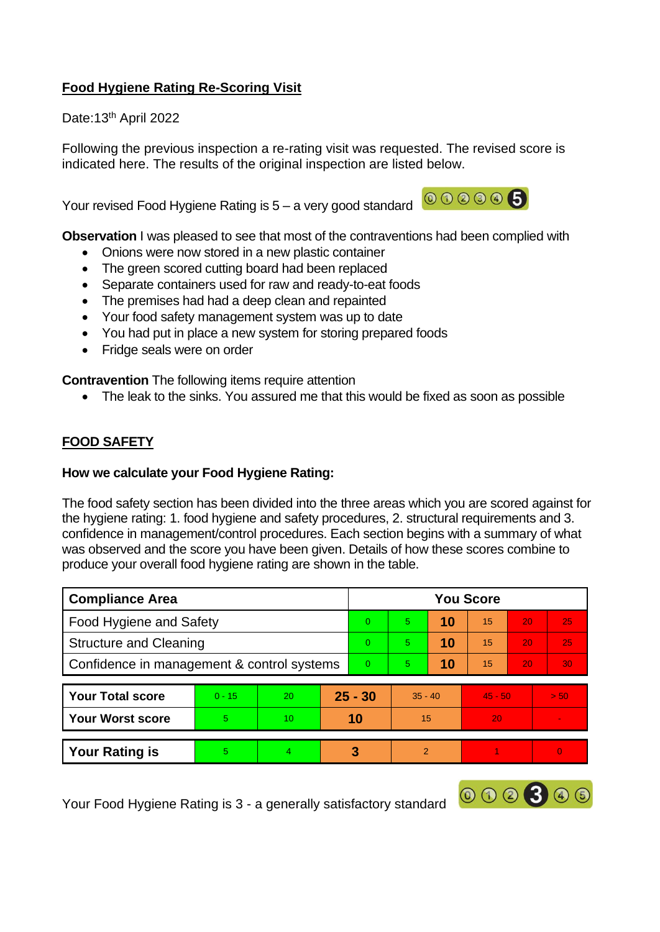# **Food Hygiene Rating Re-Scoring Visit**

Date: 13<sup>th</sup> April 2022

Following the previous inspection a re-rating visit was requested. The revised score is indicated here. The results of the original inspection are listed below.

Your revised Food Hygiene Rating is  $5 - a$  very good standard  $\overline{000000}$ 



000300

**Observation** I was pleased to see that most of the contraventions had been complied with

- Onions were now stored in a new plastic container
- The green scored cutting board had been replaced
- Separate containers used for raw and ready-to-eat foods
- The premises had had a deep clean and repainted
- Your food safety management system was up to date
- You had put in place a new system for storing prepared foods
- Fridge seals were on order

**Contravention** The following items require attention

• The leak to the sinks. You assured me that this would be fixed as soon as possible

# **FOOD SAFETY**

#### **How we calculate your Food Hygiene Rating:**

The food safety section has been divided into the three areas which you are scored against for the hygiene rating: 1. food hygiene and safety procedures, 2. structural requirements and 3. confidence in management/control procedures. Each section begins with a summary of what was observed and the score you have been given. Details of how these scores combine to produce your overall food hygiene rating are shown in the table.

| <b>Compliance Area</b>                     |          |                 |           | <b>You Score</b> |               |    |           |    |                          |  |  |
|--------------------------------------------|----------|-----------------|-----------|------------------|---------------|----|-----------|----|--------------------------|--|--|
| Food Hygiene and Safety                    |          |                 |           | $\Omega$         | 5.            | 10 | 15        | 20 | 25                       |  |  |
| <b>Structure and Cleaning</b>              |          |                 |           | $\Omega$         | 5             | 10 | 15        | 20 | 25                       |  |  |
| Confidence in management & control systems |          |                 |           | $\overline{0}$   | 5.            | 10 | 15        | 20 | 30 <sub>1</sub>          |  |  |
|                                            |          |                 |           |                  |               |    |           |    |                          |  |  |
| <b>Your Total score</b>                    | $0 - 15$ | 20              | $25 - 30$ |                  | $35 - 40$     |    | $45 - 50$ |    | > 50                     |  |  |
| <b>Your Worst score</b>                    | 5        | 10 <sup>2</sup> | 10        |                  | 15            |    | 20        |    | $\overline{\phantom{a}}$ |  |  |
|                                            |          |                 |           |                  |               |    |           |    |                          |  |  |
| <b>Your Rating is</b>                      | 5        | 4               | 3         |                  | $\mathcal{P}$ |    |           |    | $\Omega$                 |  |  |

Your Food Hygiene Rating is 3 - a generally satisfactory standard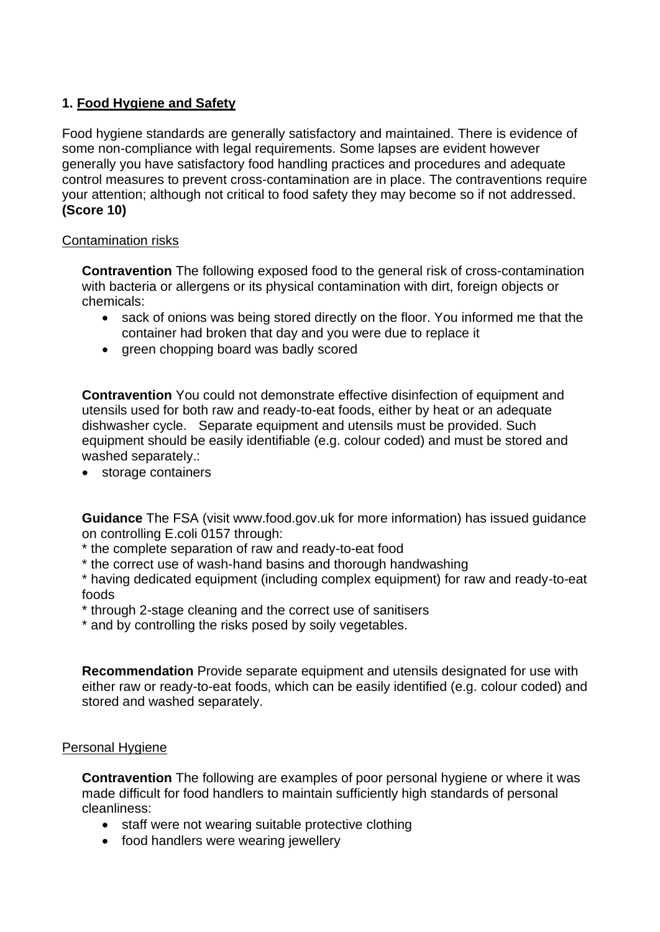## **1. Food Hygiene and Safety**

Food hygiene standards are generally satisfactory and maintained. There is evidence of some non-compliance with legal requirements. Some lapses are evident however generally you have satisfactory food handling practices and procedures and adequate control measures to prevent cross-contamination are in place. The contraventions require your attention; although not critical to food safety they may become so if not addressed. **(Score 10)**

### Contamination risks

**Contravention** The following exposed food to the general risk of cross-contamination with bacteria or allergens or its physical contamination with dirt, foreign objects or chemicals:

- sack of onions was being stored directly on the floor. You informed me that the container had broken that day and you were due to replace it
- green chopping board was badly scored

**Contravention** You could not demonstrate effective disinfection of equipment and utensils used for both raw and ready-to-eat foods, either by heat or an adequate dishwasher cycle. Separate equipment and utensils must be provided. Such equipment should be easily identifiable (e.g. colour coded) and must be stored and washed separately.:

• storage containers

**Guidance** The FSA (visit www.food.gov.uk for more information) has issued guidance on controlling E.coli 0157 through:

- \* the complete separation of raw and ready-to-eat food
- \* the correct use of wash-hand basins and thorough handwashing

\* having dedicated equipment (including complex equipment) for raw and ready-to-eat foods

- \* through 2-stage cleaning and the correct use of sanitisers
- \* and by controlling the risks posed by soily vegetables.

**Recommendation** Provide separate equipment and utensils designated for use with either raw or ready-to-eat foods, which can be easily identified (e.g. colour coded) and stored and washed separately.

#### Personal Hygiene

**Contravention** The following are examples of poor personal hygiene or where it was made difficult for food handlers to maintain sufficiently high standards of personal cleanliness:

- staff were not wearing suitable protective clothing
- food handlers were wearing jewellery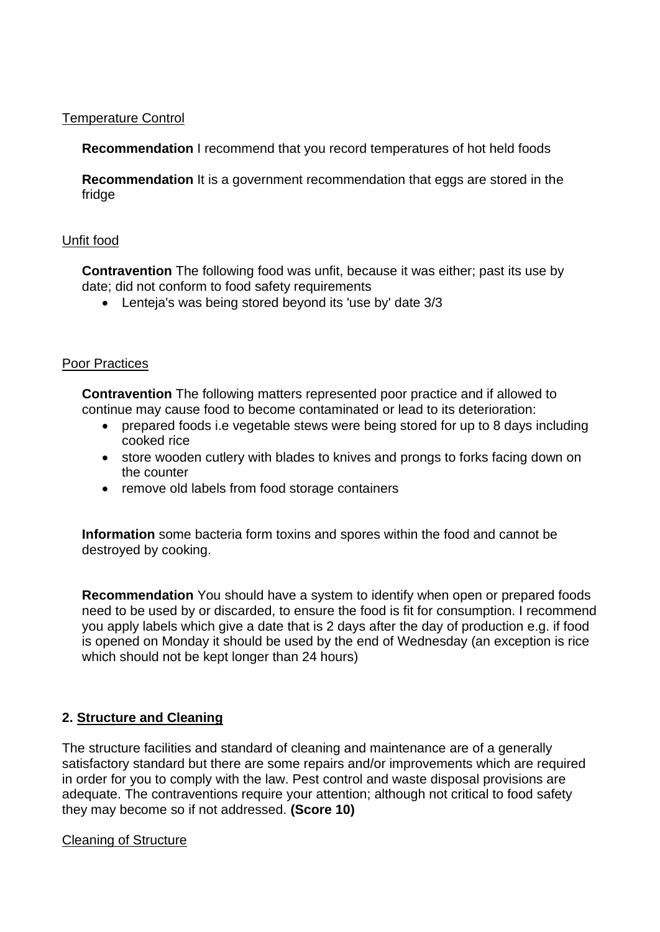#### Temperature Control

**Recommendation** I recommend that you record temperatures of hot held foods

**Recommendation** It is a government recommendation that eggs are stored in the fridge

### Unfit food

**Contravention** The following food was unfit, because it was either; past its use by date; did not conform to food safety requirements

• Lenteja's was being stored beyond its 'use by' date 3/3

### Poor Practices

**Contravention** The following matters represented poor practice and if allowed to continue may cause food to become contaminated or lead to its deterioration:

- prepared foods i.e vegetable stews were being stored for up to 8 days including cooked rice
- store wooden cutlery with blades to knives and prongs to forks facing down on the counter
- remove old labels from food storage containers

**Information** some bacteria form toxins and spores within the food and cannot be destroyed by cooking.

**Recommendation** You should have a system to identify when open or prepared foods need to be used by or discarded, to ensure the food is fit for consumption. I recommend you apply labels which give a date that is 2 days after the day of production e.g. if food is opened on Monday it should be used by the end of Wednesday (an exception is rice which should not be kept longer than 24 hours)

## **2. Structure and Cleaning**

The structure facilities and standard of cleaning and maintenance are of a generally satisfactory standard but there are some repairs and/or improvements which are required in order for you to comply with the law. Pest control and waste disposal provisions are adequate. The contraventions require your attention; although not critical to food safety they may become so if not addressed. **(Score 10)**

#### Cleaning of Structure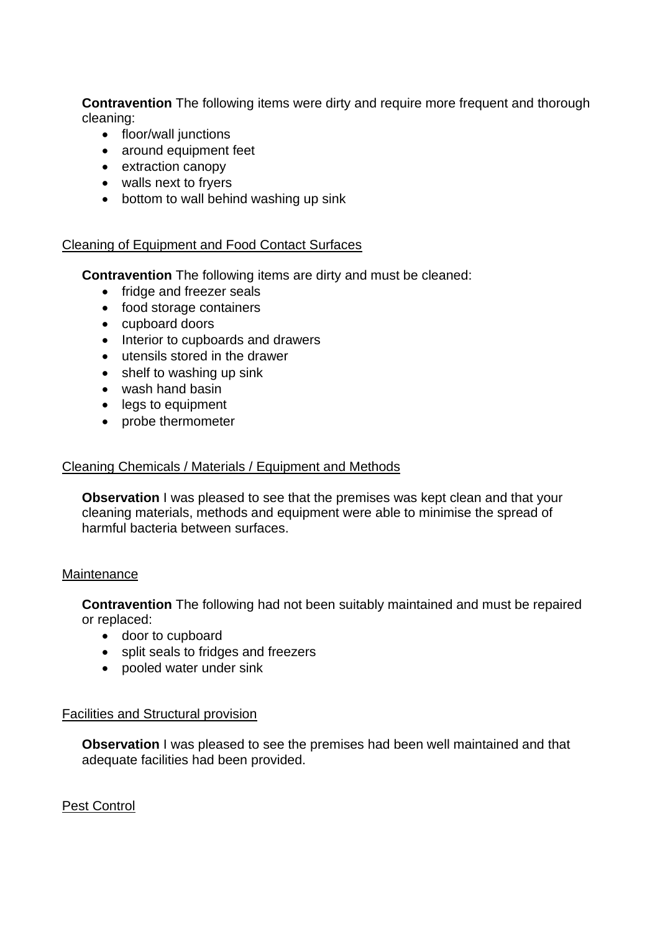**Contravention** The following items were dirty and require more frequent and thorough cleaning:

- floor/wall junctions
- around equipment feet
- extraction canopy
- walls next to fryers
- bottom to wall behind washing up sink

### Cleaning of Equipment and Food Contact Surfaces

**Contravention** The following items are dirty and must be cleaned:

- fridge and freezer seals
- food storage containers
- cupboard doors
- Interior to cupboards and drawers
- utensils stored in the drawer
- shelf to washing up sink
- wash hand basin
- legs to equipment
- probe thermometer

#### Cleaning Chemicals / Materials / Equipment and Methods

**Observation** I was pleased to see that the premises was kept clean and that your cleaning materials, methods and equipment were able to minimise the spread of harmful bacteria between surfaces.

#### Maintenance

**Contravention** The following had not been suitably maintained and must be repaired or replaced:

- door to cupboard
- split seals to fridges and freezers
- pooled water under sink

#### Facilities and Structural provision

**Observation** I was pleased to see the premises had been well maintained and that adequate facilities had been provided.

Pest Control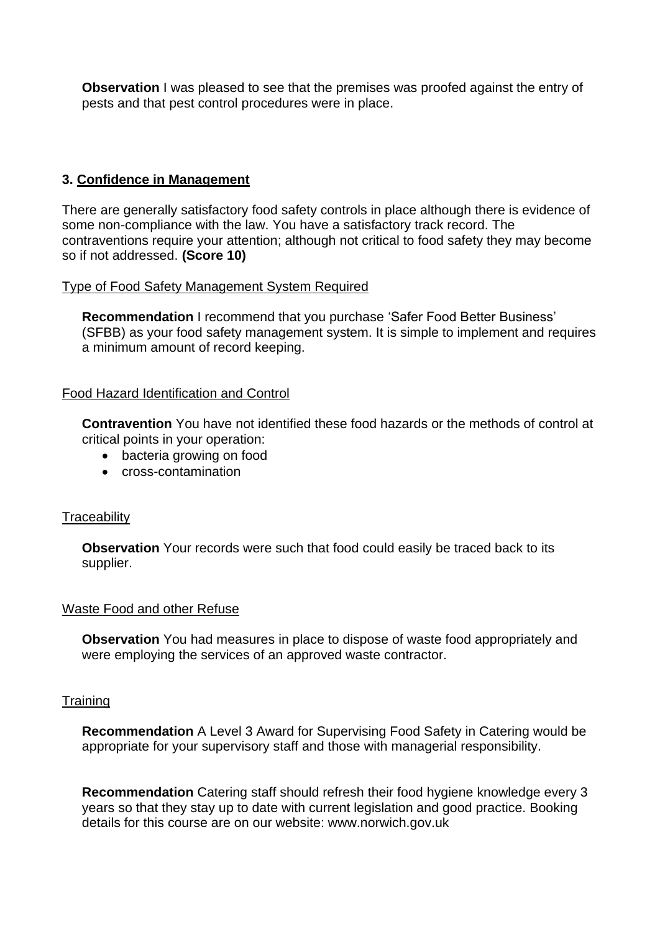**Observation** I was pleased to see that the premises was proofed against the entry of pests and that pest control procedures were in place.

## **3. Confidence in Management**

There are generally satisfactory food safety controls in place although there is evidence of some non-compliance with the law. You have a satisfactory track record. The contraventions require your attention; although not critical to food safety they may become so if not addressed. **(Score 10)**

### Type of Food Safety Management System Required

**Recommendation** I recommend that you purchase 'Safer Food Better Business' (SFBB) as your food safety management system. It is simple to implement and requires a minimum amount of record keeping.

## Food Hazard Identification and Control

**Contravention** You have not identified these food hazards or the methods of control at critical points in your operation:

- bacteria growing on food
- cross-contamination

#### **Traceability**

**Observation** Your records were such that food could easily be traced back to its supplier.

#### Waste Food and other Refuse

**Observation** You had measures in place to dispose of waste food appropriately and were employing the services of an approved waste contractor.

#### **Training**

**Recommendation** A Level 3 Award for Supervising Food Safety in Catering would be appropriate for your supervisory staff and those with managerial responsibility.

**Recommendation** Catering staff should refresh their food hygiene knowledge every 3 years so that they stay up to date with current legislation and good practice. Booking details for this course are on our website: www.norwich.gov.uk